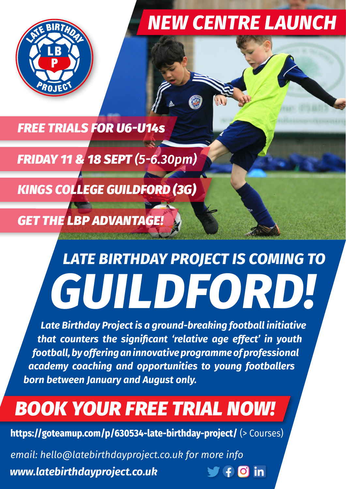

## *NEW CENTRE LAUNCH*

*FREE TRIALS FOR U6-U14s*

*FRIDAY 11 & 18 SEPT (5-6.30pm)*

*KINGS COLLEGE GUILDFORD (3G)*

*GET THE LBP ADVANTAGE!*

# *GUILDFORD! LATE BIRTHDAY PROJECT IS COMING TO*

*Late Birthday Project is a ground-breaking football initiative that counters the significant 'relative age effect' in youth football, by offering an innovative programme of professional academy coaching and opportunities to young footballers born between January and August only.*

# *BOOK YOUR FREE TRIAL NOW!*

**[https://goteamup.com/p/630534-late-birthday-project/](mailto:hello@latebirthdayproject.co.uk)** (> Courses)

*[email: hello@latebirthdayproject.co.uk for more info](mailto:hello@latebirthdayproject.co.uk) [www.latebirthdayproject.co.uk](http://latebirthdayproject.co.uk)*   $\forall f$  0 in